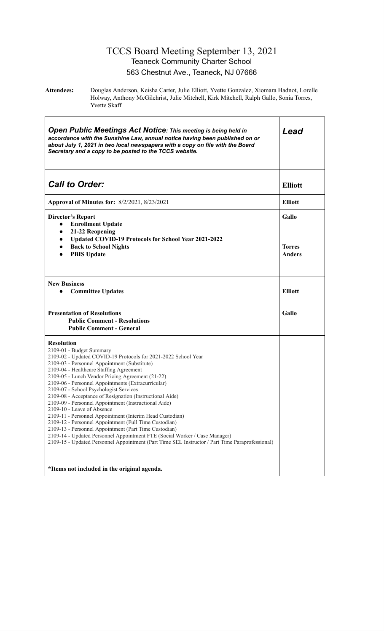#### TCCS Board Meeting September 13, 2021 Teaneck Community Charter School 563 Chestnut Ave., Teaneck, NJ 07666

**Attendees:** Douglas Anderson, Keisha Carter, Julie Elliott, Yvette Gonzalez, Xiomara Hadnot, Lorelle Holway, Anthony McGilchrist, Julie Mitchell, Kirk Mitchell, Ralph Gallo, Sonia Torres, Yvette Skaff

| <b>Open Public Meetings Act Notice: This meeting is being held in</b><br>accordance with the Sunshine Law, annual notice having been published on or<br>about July 1, 2021 in two local newspapers with a copy on file with the Board<br>Secretary and a copy to be posted to the TCCS website.                                                                                                                                                                                                                                                                                                                                                                                                                                                                                                                                                                                 | Lead                             |
|---------------------------------------------------------------------------------------------------------------------------------------------------------------------------------------------------------------------------------------------------------------------------------------------------------------------------------------------------------------------------------------------------------------------------------------------------------------------------------------------------------------------------------------------------------------------------------------------------------------------------------------------------------------------------------------------------------------------------------------------------------------------------------------------------------------------------------------------------------------------------------|----------------------------------|
| <b>Call to Order:</b>                                                                                                                                                                                                                                                                                                                                                                                                                                                                                                                                                                                                                                                                                                                                                                                                                                                           | <b>Elliott</b>                   |
| Approval of Minutes for: 8/2/2021, 8/23/2021                                                                                                                                                                                                                                                                                                                                                                                                                                                                                                                                                                                                                                                                                                                                                                                                                                    | <b>Elliott</b>                   |
| <b>Director's Report</b><br><b>Enrollment Update</b><br>$\bullet$<br>21-22 Reopening<br>$\bullet$<br>Updated COVID-19 Protocols for School Year 2021-2022<br>$\bullet$<br><b>Back to School Nights</b><br>$\bullet$<br><b>PBIS Update</b><br>$\bullet$                                                                                                                                                                                                                                                                                                                                                                                                                                                                                                                                                                                                                          | Gallo<br><b>Torres</b><br>Anders |
| <b>New Business</b><br><b>Committee Updates</b>                                                                                                                                                                                                                                                                                                                                                                                                                                                                                                                                                                                                                                                                                                                                                                                                                                 | <b>Elliott</b>                   |
| <b>Presentation of Resolutions</b><br><b>Public Comment - Resolutions</b><br><b>Public Comment - General</b>                                                                                                                                                                                                                                                                                                                                                                                                                                                                                                                                                                                                                                                                                                                                                                    | Gallo                            |
| <b>Resolution</b><br>2109-01 - Budget Summary<br>2109-02 - Updated COVID-19 Protocols for 2021-2022 School Year<br>2109-03 - Personnel Appointment (Substitute)<br>2109-04 - Healthcare Staffing Agreement<br>2109-05 - Lunch Vendor Pricing Agreement (21-22)<br>2109-06 - Personnel Appointments (Extracurricular)<br>2109-07 - School Psychologist Services<br>2109-08 - Acceptance of Resignation (Instructional Aide)<br>2109-09 - Personnel Appointment (Instructional Aide)<br>2109-10 - Leave of Absence<br>2109-11 - Personnel Appointment (Interim Head Custodian)<br>2109-12 - Personnel Appointment (Full Time Custodian)<br>2109-13 - Personnel Appointment (Part Time Custodian)<br>2109-14 - Updated Personnel Appointment FTE (Social Worker / Case Manager)<br>2109-15 - Updated Personnel Appointment (Part Time SEL Instructor / Part Time Paraprofessional) |                                  |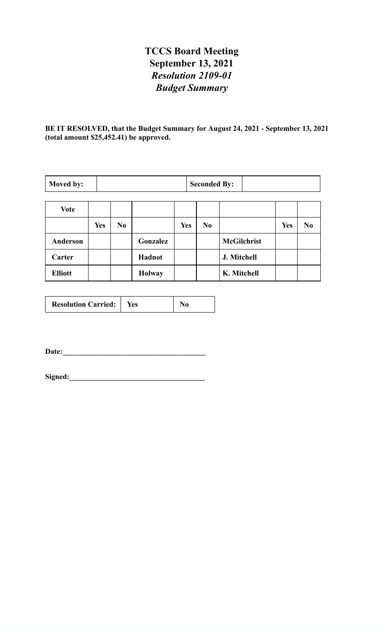# **TCCS Board Meeting September 13, 2021** *Resolution 2109-01 Budget Summary*

**BE IT RESOLVED, that the Budget Summary for August 24, 2021 - September 13, 2021 (total amount \$25,452.41) be approved.**

| Moved by:       |            |          |               |            | <b>Seconded By:</b> |                    |            |                |
|-----------------|------------|----------|---------------|------------|---------------------|--------------------|------------|----------------|
| <b>Vote</b>     |            |          |               |            |                     |                    |            |                |
|                 | <b>Yes</b> | $\bf No$ |               | <b>Yes</b> | N <sub>0</sub>      |                    | <b>Yes</b> | N <sub>0</sub> |
| <b>Anderson</b> |            |          | Gonzalez      |            |                     | <b>McGilchrist</b> |            |                |
| Carter          |            |          | Hadnot        |            |                     | J. Mitchell        |            |                |
| <b>Elliott</b>  |            |          | <b>Holway</b> |            |                     | K. Mitchell        |            |                |

| <b>Resolution Carried:</b> | Yes |  |
|----------------------------|-----|--|
|----------------------------|-----|--|

**Date:\_\_\_\_\_\_\_\_\_\_\_\_\_\_\_\_\_\_\_\_\_\_\_\_\_\_\_\_\_\_\_\_\_\_\_\_\_\_**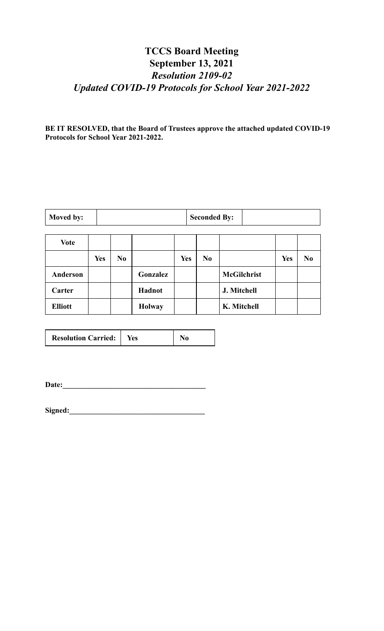# **TCCS Board Meeting September 13, 2021** *Resolution 2109-02 Updated COVID-19 Protocols for School Year 2021-2022*

**BE IT RESOLVED, that the Board of Trustees approve the attached updated COVID-19 Protocols for School Year 2021-2022.**

| Moved by: | <b>Seconded By:</b> |  |
|-----------|---------------------|--|
|-----------|---------------------|--|

| Vote           |            |                |               |            |                |                    |            |                |
|----------------|------------|----------------|---------------|------------|----------------|--------------------|------------|----------------|
|                | <b>Yes</b> | N <sub>0</sub> |               | <b>Yes</b> | N <sub>0</sub> |                    | <b>Yes</b> | N <sub>0</sub> |
| Anderson       |            |                | Gonzalez      |            |                | <b>McGilchrist</b> |            |                |
| Carter         |            |                | Hadnot        |            |                | J. Mitchell        |            |                |
| <b>Elliott</b> |            |                | <b>Holway</b> |            |                | K. Mitchell        |            |                |

| <b>Resolution Carried:</b> | Yes |  |
|----------------------------|-----|--|
|                            |     |  |

**Date:\_\_\_\_\_\_\_\_\_\_\_\_\_\_\_\_\_\_\_\_\_\_\_\_\_\_\_\_\_\_\_\_\_\_\_\_\_\_**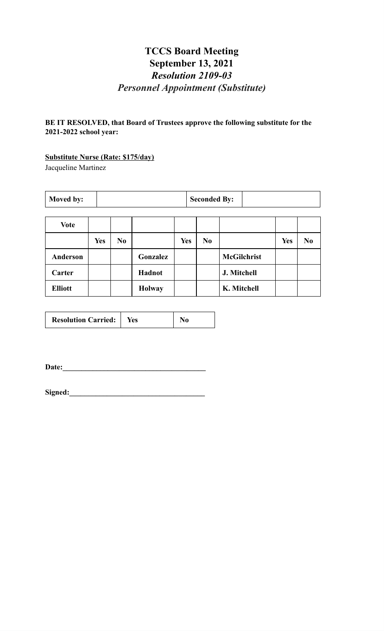# **TCCS Board Meeting September 13, 2021** *Resolution 2109-03 Personnel Appointment (Substitute)*

**BE IT RESOLVED, that Board of Trustees approve the following substitute for the 2021-2022 school year:**

#### **Substitute Nurse (Rate: \$175/day)**

Jacqueline Martinez

| <b>Moved by:</b> | <b>Seconded By:</b> |  |
|------------------|---------------------|--|
|                  |                     |  |

| <b>Vote</b>     |            |                |               |            |                |                    |            |                |
|-----------------|------------|----------------|---------------|------------|----------------|--------------------|------------|----------------|
|                 | <b>Yes</b> | N <sub>0</sub> |               | <b>Yes</b> | N <sub>0</sub> |                    | <b>Yes</b> | N <sub>0</sub> |
| <b>Anderson</b> |            |                | Gonzalez      |            |                | <b>McGilchrist</b> |            |                |
| Carter          |            |                | Hadnot        |            |                | J. Mitchell        |            |                |
| <b>Elliott</b>  |            |                | <b>Holway</b> |            |                | K. Mitchell        |            |                |

| <b>Resolution Carried:</b>   Yes |  | N <sub>0</sub> |
|----------------------------------|--|----------------|
|----------------------------------|--|----------------|

Date:

| Signed: |  |  |
|---------|--|--|
|         |  |  |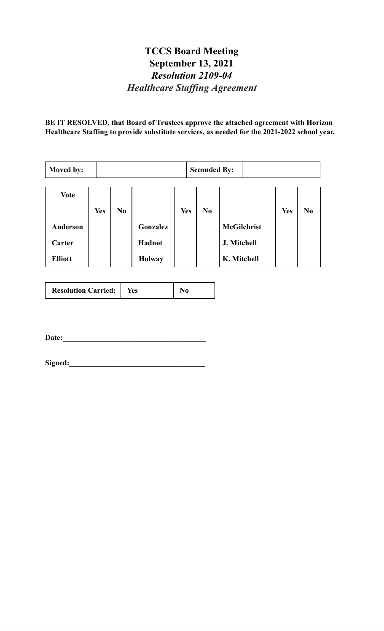#### **TCCS Board Meeting September 13, 2021** *Resolution 2109-04 Healthcare Staf ing Agreement*

**BE IT RESOLVED, that Board of Trustees approve the attached agreement with Horizon Healthcare Staffing to provide substitute services, as needed for the 2021-2022 school year.**

| Moved by:      |            |                |               |            | <b>Seconded By:</b> |                    |            |                |
|----------------|------------|----------------|---------------|------------|---------------------|--------------------|------------|----------------|
| <b>Vote</b>    |            |                |               |            |                     |                    |            |                |
|                | <b>Yes</b> | N <sub>0</sub> |               | <b>Yes</b> | N <sub>0</sub>      |                    | <b>Yes</b> | N <sub>0</sub> |
| Anderson       |            |                | Gonzalez      |            |                     | <b>McGilchrist</b> |            |                |
| Carter         |            |                | Hadnot        |            |                     | J. Mitchell        |            |                |
| <b>Elliott</b> |            |                | <b>Holway</b> |            |                     | K. Mitchell        |            |                |

|--|

**Date:\_\_\_\_\_\_\_\_\_\_\_\_\_\_\_\_\_\_\_\_\_\_\_\_\_\_\_\_\_\_\_\_\_\_\_\_\_\_**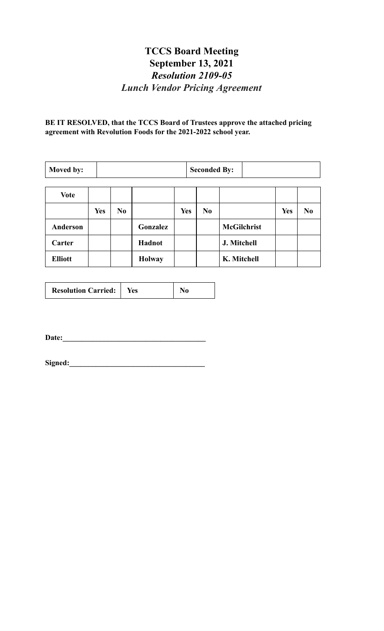# **TCCS Board Meeting September 13, 2021** *Resolution 2109-05 Lunch Vendor Pricing Agreement*

**BE IT RESOLVED, that the TCCS Board of Trustees approve the attached pricing agreement with Revolution Foods for the 2021-2022 school year.**

| Moved by:      |            | <b>Seconded By:</b> |               |            |                |                    |     |                |
|----------------|------------|---------------------|---------------|------------|----------------|--------------------|-----|----------------|
| <b>Vote</b>    |            |                     |               |            |                |                    |     |                |
|                | <b>Yes</b> | N <sub>0</sub>      |               | <b>Yes</b> | N <sub>0</sub> |                    | Yes | N <sub>0</sub> |
| Anderson       |            |                     | Gonzalez      |            |                | <b>McGilchrist</b> |     |                |
| Carter         |            |                     | Hadnot        |            |                | J. Mitchell        |     |                |
| <b>Elliott</b> |            |                     | <b>Holway</b> |            |                | K. Mitchell        |     |                |

|--|

**Date:\_\_\_\_\_\_\_\_\_\_\_\_\_\_\_\_\_\_\_\_\_\_\_\_\_\_\_\_\_\_\_\_\_\_\_\_\_\_**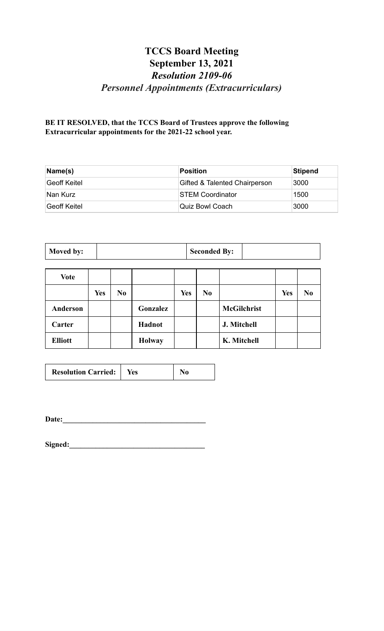# **TCCS Board Meeting September 13, 2021** *Resolution 2109-06 Personnel Appointments (Extracurriculars)*

**BE IT RESOLVED, that the TCCS Board of Trustees approve the following Extracurricular appointments for the 2021-22 school year.**

| Name(s)       | Position                      | Stipend |
|---------------|-------------------------------|---------|
| ∣Geoff Keitel | Gifted & Talented Chairperson | 3000    |
| Nan Kurz      | <b>STEM Coordinator</b>       | 1500    |
| ∣Geoff Keitel | Quiz Bowl Coach               | 3000    |

| Moved by: | <b>Seconded By:</b> |  |
|-----------|---------------------|--|
|           |                     |  |

| <b>Vote</b>    |            |                |               |            |                |                    |            |                |
|----------------|------------|----------------|---------------|------------|----------------|--------------------|------------|----------------|
|                | <b>Yes</b> | N <sub>0</sub> |               | <b>Yes</b> | N <sub>0</sub> |                    | <b>Yes</b> | N <sub>0</sub> |
| Anderson       |            |                | Gonzalez      |            |                | <b>McGilchrist</b> |            |                |
| Carter         |            |                | Hadnot        |            |                | J. Mitchell        |            |                |
| <b>Elliott</b> |            |                | <b>Holway</b> |            |                | K. Mitchell        |            |                |

| <b>Resolution Carried:</b>   Yes |  | N <sub>0</sub> |
|----------------------------------|--|----------------|
|----------------------------------|--|----------------|

**Date:\_\_\_\_\_\_\_\_\_\_\_\_\_\_\_\_\_\_\_\_\_\_\_\_\_\_\_\_\_\_\_\_\_\_\_\_\_\_**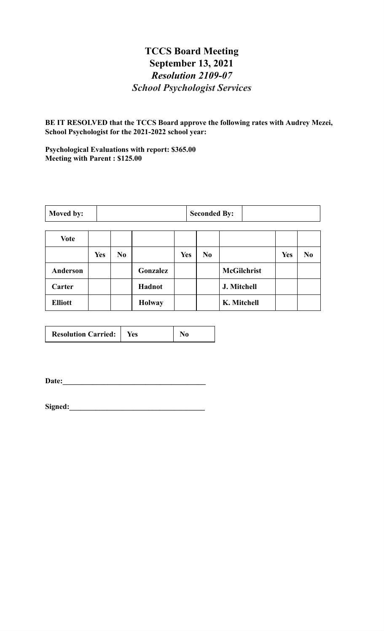#### **TCCS Board Meeting September 13, 2021** *Resolution 2109-07 School Psychologist Services*

**BE IT RESOLVED that the TCCS Board approve the following rates with Audrey Mezei, School Psychologist for the 2021-2022 school year:**

**Psychological Evaluations with report: \$365.00 Meeting with Parent : \$125.00**

| Moved by: | <b>Seconded By:</b> |  |
|-----------|---------------------|--|
|-----------|---------------------|--|

| <b>Vote</b>    |            |                |               |            |     |                    |            |                |
|----------------|------------|----------------|---------------|------------|-----|--------------------|------------|----------------|
|                | <b>Yes</b> | N <sub>0</sub> |               | <b>Yes</b> | No. |                    | <b>Yes</b> | N <sub>0</sub> |
| Anderson       |            |                | Gonzalez      |            |     | <b>McGilchrist</b> |            |                |
| Carter         |            |                | Hadnot        |            |     | J. Mitchell        |            |                |
| <b>Elliott</b> |            |                | <b>Holway</b> |            |     | K. Mitchell        |            |                |

| <b>Resolution Carried:</b> | Yes |  |
|----------------------------|-----|--|
|----------------------------|-----|--|

**Date:\_\_\_\_\_\_\_\_\_\_\_\_\_\_\_\_\_\_\_\_\_\_\_\_\_\_\_\_\_\_\_\_\_\_\_\_\_\_**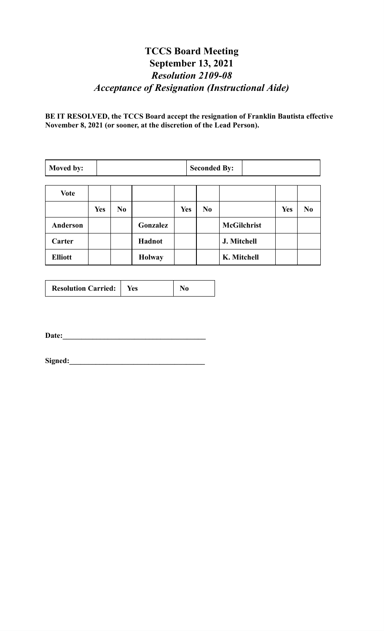# **TCCS Board Meeting September 13, 2021** *Resolution 2109-08 Acceptance of Resignation (Instructional Aide)*

**BE IT RESOLVED, the TCCS Board accept the resignation of Franklin Bautista effective November 8, 2021 (or sooner, at the discretion of the Lead Person).**

| Moved by:       |            | <b>Seconded By:</b> |               |            |    |                    |            |                |
|-----------------|------------|---------------------|---------------|------------|----|--------------------|------------|----------------|
| <b>Vote</b>     |            |                     |               |            |    |                    |            |                |
|                 | <b>Yes</b> | N <sub>0</sub>      |               | <b>Yes</b> | No |                    | <b>Yes</b> | N <sub>0</sub> |
| <b>Anderson</b> |            |                     | Gonzalez      |            |    | <b>McGilchrist</b> |            |                |
| Carter          |            |                     | <b>Hadnot</b> |            |    | J. Mitchell        |            |                |
| <b>Elliott</b>  |            |                     | <b>Holway</b> |            |    | K. Mitchell        |            |                |

| <b>Resolution Carried:</b><br>Yes |
|-----------------------------------|
|-----------------------------------|

**Date:\_\_\_\_\_\_\_\_\_\_\_\_\_\_\_\_\_\_\_\_\_\_\_\_\_\_\_\_\_\_\_\_\_\_\_\_\_\_**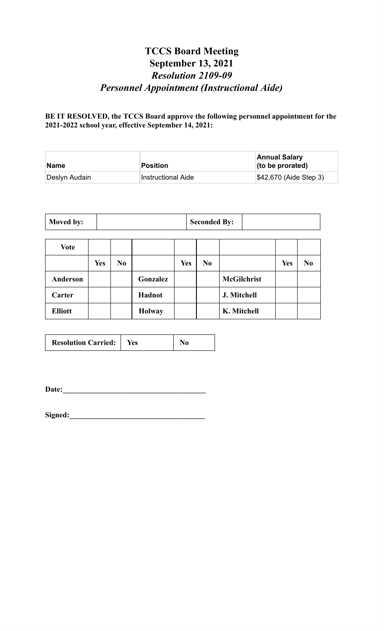# **TCCS Board Meeting September 13, 2021** *Resolution 2109-09 Personnel Appointment (Instructional Aide)*

**BE IT RESOLVED, the TCCS Board approve the following personnel appointment for the 2021-2022 school year, effective September 14, 2021:**

| <b>Name</b>   | Position                  | <b>Annual Salary</b><br>$($ to be prorated $)$ |
|---------------|---------------------------|------------------------------------------------|
| Deslyn Audain | <b>Instructional Aide</b> | $\frac{1}{2}42,670$ (Aide Step 3)              |

| Moved by: |  | <b>Seconded By:</b> |  |
|-----------|--|---------------------|--|
|-----------|--|---------------------|--|

| <b>Vote</b>     |            |                |               |            |                |                    |            |    |
|-----------------|------------|----------------|---------------|------------|----------------|--------------------|------------|----|
|                 | <b>Yes</b> | N <sub>0</sub> |               | <b>Yes</b> | N <sub>0</sub> |                    | <b>Yes</b> | No |
| <b>Anderson</b> |            |                | Gonzalez      |            |                | <b>McGilchrist</b> |            |    |
| Carter          |            |                | Hadnot        |            |                | J. Mitchell        |            |    |
| <b>Elliott</b>  |            |                | <b>Holway</b> |            |                | K. Mitchell        |            |    |

| <b>Resolution Carried:</b> | Yes |  |
|----------------------------|-----|--|
|----------------------------|-----|--|

**Date:\_\_\_\_\_\_\_\_\_\_\_\_\_\_\_\_\_\_\_\_\_\_\_\_\_\_\_\_\_\_\_\_\_\_\_\_\_\_**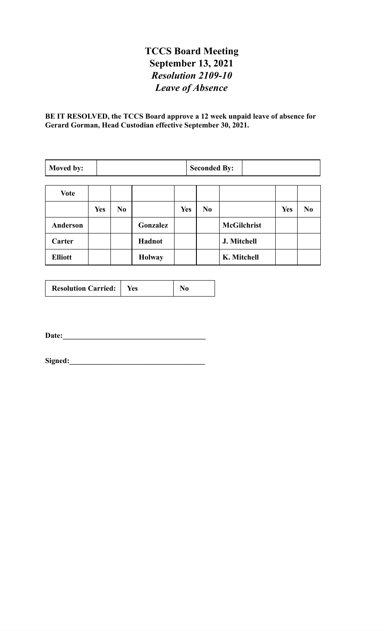# **TCCS Board Meeting September 13, 2021** *Resolution 2109-10 Leave of Absence*

**BE IT RESOLVED, the TCCS Board approve a 12 week unpaid leave of absence for Gerard Gorman, Head Custodian effective September 30, 2021.**

| Moved by:      |            | <b>Seconded By:</b> |               |            |  |                |                    |            |                |
|----------------|------------|---------------------|---------------|------------|--|----------------|--------------------|------------|----------------|
|                |            |                     |               |            |  |                |                    |            |                |
| <b>Vote</b>    |            |                     |               |            |  |                |                    |            |                |
|                | <b>Yes</b> | N <sub>0</sub>      |               | <b>Yes</b> |  | N <sub>0</sub> |                    | <b>Yes</b> | N <sub>0</sub> |
| Anderson       |            |                     | Gonzalez      |            |  |                | <b>McGilchrist</b> |            |                |
| Carter         |            |                     | Hadnot        |            |  |                | J. Mitchell        |            |                |
| <b>Elliott</b> |            |                     | <b>Holway</b> |            |  |                | K. Mitchell        |            |                |

| <b>Resolution Carried:</b><br>Yes |
|-----------------------------------|
|-----------------------------------|

**Date:\_\_\_\_\_\_\_\_\_\_\_\_\_\_\_\_\_\_\_\_\_\_\_\_\_\_\_\_\_\_\_\_\_\_\_\_\_\_**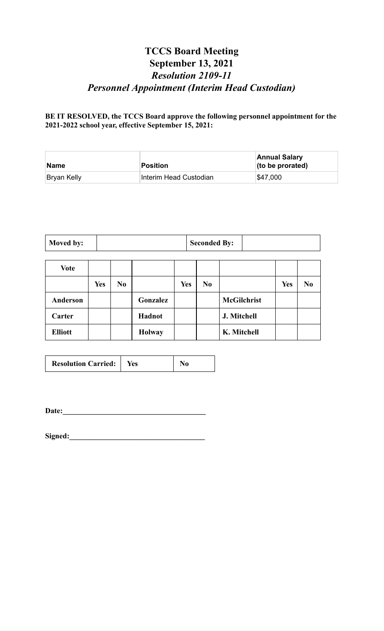# **TCCS Board Meeting September 13, 2021** *Resolution 2109-11 Personnel Appointment (Interim Head Custodian)*

**BE IT RESOLVED, the TCCS Board approve the following personnel appointment for the 2021-2022 school year, effective September 15, 2021:**

| Name        | Position               | <b>Annual Salary</b><br>$($ to be prorated $)$ |
|-------------|------------------------|------------------------------------------------|
| Bryan Kelly | Interim Head Custodian | \$47,000                                       |

| Moved by:<br><b>Seconded By:</b> |  |
|----------------------------------|--|
|----------------------------------|--|

| <b>Vote</b>     |            |                |               |            |                |                    |            |                |
|-----------------|------------|----------------|---------------|------------|----------------|--------------------|------------|----------------|
|                 | <b>Yes</b> | N <sub>0</sub> |               | <b>Yes</b> | N <sub>0</sub> |                    | <b>Yes</b> | N <sub>0</sub> |
| <b>Anderson</b> |            |                | Gonzalez      |            |                | <b>McGilchrist</b> |            |                |
| Carter          |            |                | Hadnot        |            |                | J. Mitchell        |            |                |
| <b>Elliott</b>  |            |                | <b>Holway</b> |            |                | K. Mitchell        |            |                |

| <b>Resolution Carried:</b>   Yes |  | N <sub>0</sub> |
|----------------------------------|--|----------------|
|----------------------------------|--|----------------|

**Date:\_\_\_\_\_\_\_\_\_\_\_\_\_\_\_\_\_\_\_\_\_\_\_\_\_\_\_\_\_\_\_\_\_\_\_\_\_\_**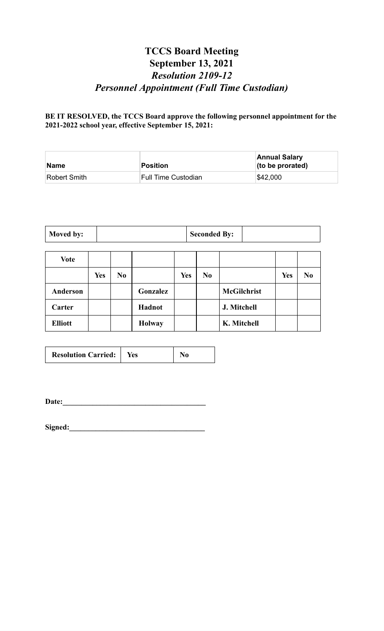# **TCCS Board Meeting September 13, 2021** *Resolution 2109-12 Personnel Appointment (Full Time Custodian)*

**BE IT RESOLVED, the TCCS Board approve the following personnel appointment for the 2021-2022 school year, effective September 15, 2021:**

| Name         | Position            | <b>Annual Salary</b><br>(to be prorated) |
|--------------|---------------------|------------------------------------------|
| Robert Smith | Full Time Custodian | \$42,000                                 |

| Moved by: | <b>Seconded By:</b> |  |
|-----------|---------------------|--|
|-----------|---------------------|--|

| <b>Vote</b>    |            |                |               |     |                |                    |            |                |
|----------------|------------|----------------|---------------|-----|----------------|--------------------|------------|----------------|
|                | <b>Yes</b> | N <sub>0</sub> |               | Yes | N <sub>0</sub> |                    | <b>Yes</b> | N <sub>0</sub> |
| Anderson       |            |                | Gonzalez      |     |                | <b>McGilchrist</b> |            |                |
| Carter         |            |                | Hadnot        |     |                | J. Mitchell        |            |                |
| <b>Elliott</b> |            |                | <b>Holway</b> |     |                | K. Mitchell        |            |                |

| <b>Resolution Carried:</b> | Yes: |  |
|----------------------------|------|--|
|----------------------------|------|--|

**Date:\_\_\_\_\_\_\_\_\_\_\_\_\_\_\_\_\_\_\_\_\_\_\_\_\_\_\_\_\_\_\_\_\_\_\_\_\_\_**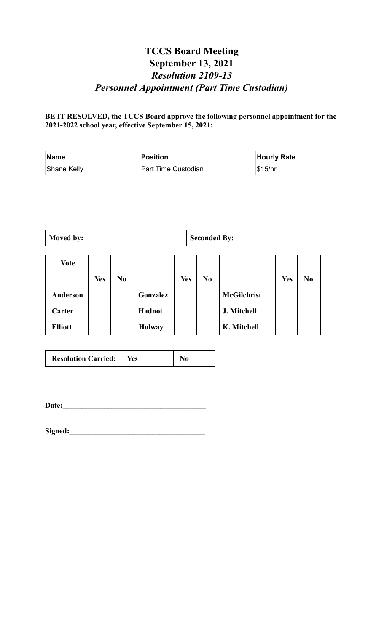# **TCCS Board Meeting September 13, 2021** *Resolution 2109-13 Personnel Appointment (Part Time Custodian)*

**BE IT RESOLVED, the TCCS Board approve the following personnel appointment for the 2021-2022 school year, effective September 15, 2021:**

| Name        | <b>Position</b>     | <b>Hourly Rate</b> |
|-------------|---------------------|--------------------|
| Shane Kelly | Part Time Custodian | \$15/hr            |

| Moved by: | <b>Seconded By:</b> |  |
|-----------|---------------------|--|
|-----------|---------------------|--|

| <b>Vote</b>    |            |                |               |            |                |                    |            |                |
|----------------|------------|----------------|---------------|------------|----------------|--------------------|------------|----------------|
|                | <b>Yes</b> | N <sub>0</sub> |               | <b>Yes</b> | N <sub>0</sub> |                    | <b>Yes</b> | N <sub>0</sub> |
| Anderson       |            |                | Gonzalez      |            |                | <b>McGilchrist</b> |            |                |
| Carter         |            |                | Hadnot        |            |                | J. Mitchell        |            |                |
| <b>Elliott</b> |            |                | <b>Holway</b> |            |                | K. Mitchell        |            |                |

**Date:\_\_\_\_\_\_\_\_\_\_\_\_\_\_\_\_\_\_\_\_\_\_\_\_\_\_\_\_\_\_\_\_\_\_\_\_\_\_**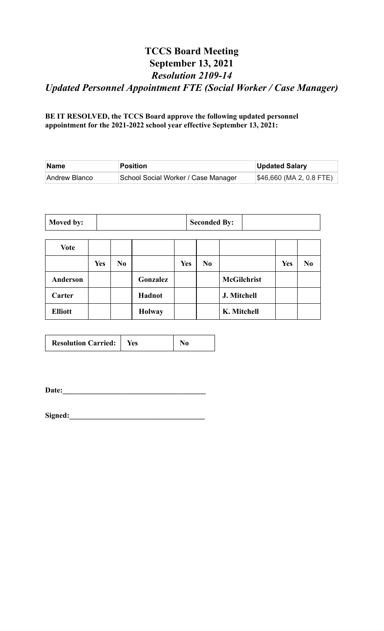# **TCCS Board Meeting September 13, 2021** *Resolution 2109-14 Updated Personnel Appointment FTE (Social Worker / Case Manager)*

**BE IT RESOLVED, the TCCS Board approve the following updated personnel appointment for the 2021-2022 school year effective September 13, 2021:**

| Name          | Position                            | <b>Updated Salary</b>               |
|---------------|-------------------------------------|-------------------------------------|
| Andrew Blanco | School Social Worker / Case Manager | $\frac{1}{2}46,660$ (MA 2, 0.8 FTE) |

| Moved by: |  | <b>Seconded By:</b> |  |
|-----------|--|---------------------|--|
|-----------|--|---------------------|--|

| <b>Vote</b>    |            |                |               |     |                |                    |            |                |
|----------------|------------|----------------|---------------|-----|----------------|--------------------|------------|----------------|
|                | <b>Yes</b> | N <sub>0</sub> |               | Yes | N <sub>0</sub> |                    | <b>Yes</b> | N <sub>0</sub> |
| Anderson       |            |                | Gonzalez      |     |                | <b>McGilchrist</b> |            |                |
| Carter         |            |                | Hadnot        |     |                | J. Mitchell        |            |                |
| <b>Elliott</b> |            |                | <b>Holway</b> |     |                | K. Mitchell        |            |                |

| <b>Resolution Carried:</b> | Yes |  |
|----------------------------|-----|--|
|----------------------------|-----|--|

**Date:\_\_\_\_\_\_\_\_\_\_\_\_\_\_\_\_\_\_\_\_\_\_\_\_\_\_\_\_\_\_\_\_\_\_\_\_\_\_**